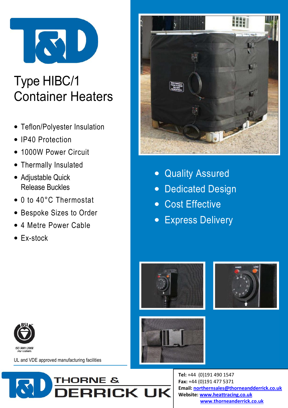

# Type HIBC/1 Container Heaters

- Teflon/Polyester Insulation
- IP40 Protection
- 1000W Power Circuit
- Thermally Insulated
- Adjustable Quick Release Buckles
- 0 to 40°C Thermostat
- Bespoke Sizes to Order
- 4 Metre Power Cable
- Ex-stock



- Quality Assured
- Dedicated Design
- Cost Effective
- Express Delivery











UL and VDE approved manufacturing facilities



Tel: +44 (0)191 490 1547 Fax: +44 (0)191 477 5371 Email: northernsales@thorneandderrick.co.uk Website: www.heattracing.co.uk www.thorneanderrick.co.uk